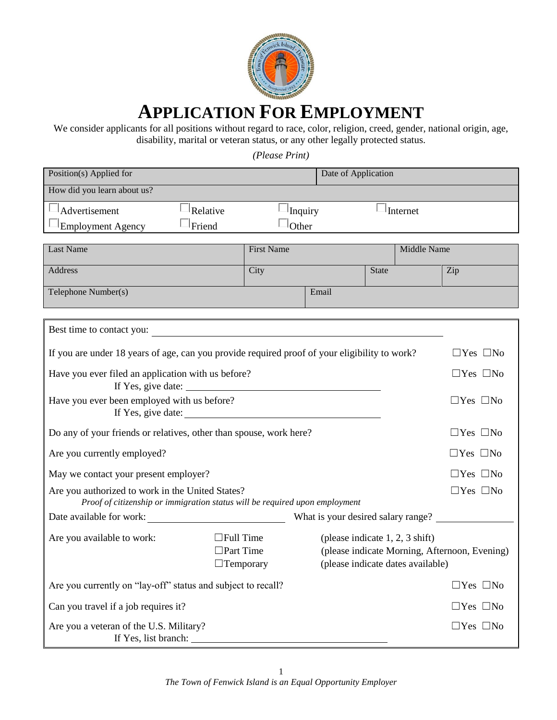

# **APPLICATION FOR EMPLOYMENT**

We consider applicants for all positions without regard to race, color, religion, creed, gender, national origin, age, disability, marital or veteran status, or any other legally protected status.

*(Please Print)*

| Position(s) Applied for                                                                                                         |                                                          |                                                       | Date of Application                                                    |              |             |                                               |
|---------------------------------------------------------------------------------------------------------------------------------|----------------------------------------------------------|-------------------------------------------------------|------------------------------------------------------------------------|--------------|-------------|-----------------------------------------------|
| How did you learn about us?                                                                                                     |                                                          |                                                       |                                                                        |              |             |                                               |
| Advertisement<br>Relative                                                                                                       |                                                          | Inquiry                                               |                                                                        |              | Internet    |                                               |
| Friend<br>$\blacksquare$ Employment Agency                                                                                      |                                                          | Other                                                 |                                                                        |              |             |                                               |
| <b>Last Name</b>                                                                                                                |                                                          | <b>First Name</b>                                     |                                                                        |              | Middle Name |                                               |
|                                                                                                                                 |                                                          |                                                       |                                                                        |              |             |                                               |
| <b>Address</b>                                                                                                                  |                                                          | City                                                  |                                                                        | <b>State</b> |             | Zip                                           |
| Telephone Number(s)                                                                                                             |                                                          |                                                       | Email                                                                  |              |             |                                               |
|                                                                                                                                 |                                                          |                                                       |                                                                        |              |             |                                               |
| Best time to contact you:                                                                                                       |                                                          | <u> 1980 - Jan Stein Berlin, amerikan berlindar (</u> |                                                                        |              |             |                                               |
| If you are under 18 years of age, can you provide required proof of your eligibility to work?                                   |                                                          |                                                       |                                                                        |              |             | $\Box$ Yes $\Box$ No                          |
| Have you ever filed an application with us before?                                                                              |                                                          |                                                       |                                                                        |              |             | $\Box$ Yes $\Box$ No                          |
| Have you ever been employed with us before?                                                                                     |                                                          |                                                       |                                                                        |              |             | $\Box$ Yes $\Box$ No                          |
| Do any of your friends or relatives, other than spouse, work here?                                                              |                                                          |                                                       |                                                                        |              |             | $\Box$ Yes $\Box$ No                          |
| Are you currently employed?                                                                                                     |                                                          |                                                       |                                                                        |              |             | $\Box$ Yes $\Box$ No                          |
| May we contact your present employer?                                                                                           |                                                          |                                                       |                                                                        |              |             | $\Box$ Yes $\Box$ No                          |
| Are you authorized to work in the United States?<br>Proof of citizenship or immigration status will be required upon employment |                                                          |                                                       |                                                                        |              |             | $\Box$ Yes $\Box$ No                          |
| Date available for work:                                                                                                        |                                                          |                                                       | What is your desired salary range?                                     |              |             |                                               |
| Are you available to work:                                                                                                      | $\Box$ Full Time<br>$\Box$ Part Time<br>$\Box$ Temporary |                                                       | (please indicate $1, 2, 3$ shift)<br>(please indicate dates available) |              |             | (please indicate Morning, Afternoon, Evening) |
| Are you currently on "lay-off" status and subject to recall?                                                                    |                                                          |                                                       |                                                                        |              |             | $\Box$ Yes $\Box$ No                          |
| Can you travel if a job requires it?                                                                                            |                                                          |                                                       |                                                                        |              |             | $\Box$ Yes $\Box$ No                          |
| Are you a veteran of the U.S. Military?<br>If Yes, list branch: ______                                                          |                                                          |                                                       |                                                                        |              |             | $\Box$ Yes $\Box$ No                          |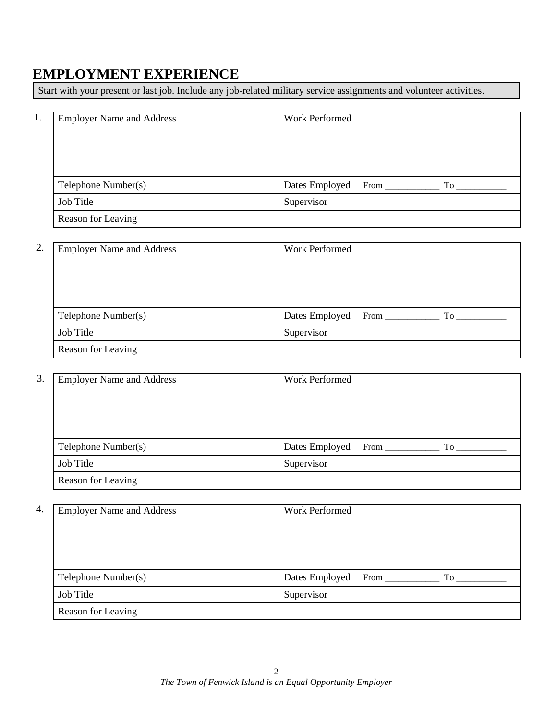#### **EMPLOYMENT EXPERIENCE**

Start with your present or last job. Include any job-related military service assignments and volunteer activities.

| 1. | <b>Employer Name and Address</b> | <b>Work Performed</b>        |
|----|----------------------------------|------------------------------|
|    |                                  |                              |
|    |                                  |                              |
|    |                                  |                              |
|    | Telephone Number(s)              | Dates Employed<br>From<br>To |
|    | Job Title                        | Supervisor                   |
|    | Reason for Leaving               |                              |

| 2. | <b>Employer Name and Address</b> | Work Performed               |
|----|----------------------------------|------------------------------|
|    |                                  |                              |
|    |                                  |                              |
|    |                                  |                              |
|    | Telephone Number(s)              | Dates Employed<br>From<br>To |
|    | Job Title                        | Supervisor                   |
|    | Reason for Leaving               |                              |

| 3. | <b>Employer Name and Address</b> | Work Performed              |
|----|----------------------------------|-----------------------------|
|    |                                  |                             |
|    |                                  |                             |
|    |                                  |                             |
|    |                                  |                             |
|    | Telephone Number(s)              | Dates Employed<br>$From$ To |
|    | Job Title                        | Supervisor                  |
|    | Reason for Leaving               |                             |

| 4. | <b>Employer Name and Address</b> | Work Performed                                    |
|----|----------------------------------|---------------------------------------------------|
|    |                                  |                                                   |
|    |                                  |                                                   |
|    |                                  |                                                   |
|    | Telephone Number(s)              | Dates Employed<br>$From \_$<br>$To$ <sub>——</sub> |
|    | Job Title                        | Supervisor                                        |
|    | Reason for Leaving               |                                                   |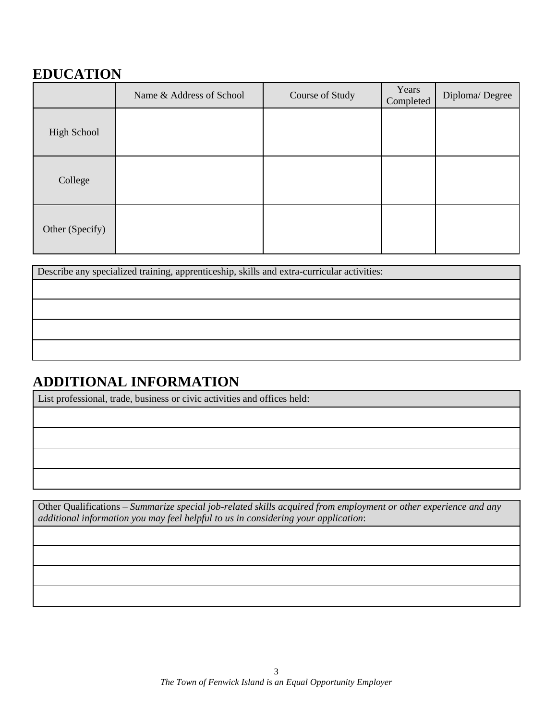## **EDUCATION**

|                 | Name & Address of School | Course of Study | Years<br>Completed | Diploma/Degree |
|-----------------|--------------------------|-----------------|--------------------|----------------|
| High School     |                          |                 |                    |                |
| College         |                          |                 |                    |                |
| Other (Specify) |                          |                 |                    |                |

Describe any specialized training, apprenticeship, skills and extra-curricular activities:

#### **ADDITIONAL INFORMATION**

List professional, trade, business or civic activities and offices held:

Other Qualifications – *Summarize special job-related skills acquired from employment or other experience and any additional information you may feel helpful to us in considering your application*: